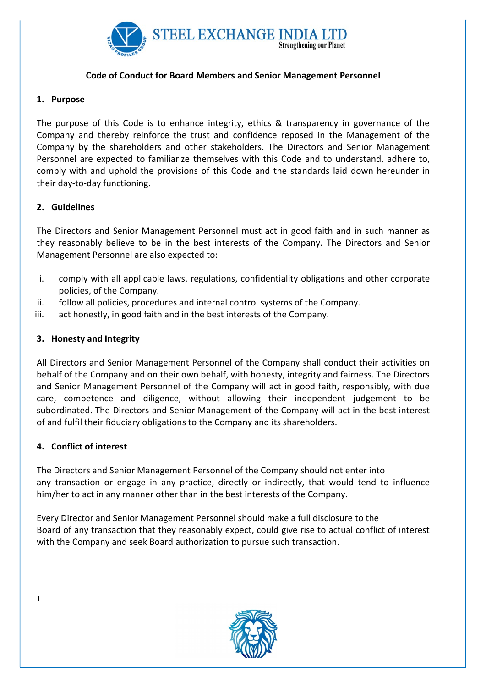

# Code of Conduct for Board Members and Senior Management Personnel

# 1. Purpose

The purpose of this Code is to enhance integrity, ethics & transparency in governance of the Company and thereby reinforce the trust and confidence reposed in the Management of the Company by the shareholders and other stakeholders. The Directors and Senior Management Personnel are expected to familiarize themselves with this Code and to understand, adhere to, comply with and uphold the provisions of this Code and the standards laid down hereunder in their day-to-day functioning.

# 2. Guidelines

The Directors and Senior Management Personnel must act in good faith and in such manner as they reasonably believe to be in the best interests of the Company. The Directors and Senior Management Personnel are also expected to:

- i. comply with all applicable laws, regulations, confidentiality obligations and other corporate policies, of the Company.
- ii. follow all policies, procedures and internal control systems of the Company.
- iii. act honestly, in good faith and in the best interests of the Company.

# 3. Honesty and Integrity

All Directors and Senior Management Personnel of the Company shall conduct their activities on behalf of the Company and on their own behalf, with honesty, integrity and fairness. The Directors and Senior Management Personnel of the Company will act in good faith, responsibly, with due care, competence and diligence, without allowing their independent judgement to be subordinated. The Directors and Senior Management of the Company will act in the best interest of and fulfil their fiduciary obligations to the Company and its shareholders.

## 4. Conflict of interest

The Directors and Senior Management Personnel of the Company should not enter into any transaction or engage in any practice, directly or indirectly, that would tend to influence him/her to act in any manner other than in the best interests of the Company.

Every Director and Senior Management Personnel should make a full disclosure to the Board of any transaction that they reasonably expect, could give rise to actual conflict of interest with the Company and seek Board authorization to pursue such transaction.



1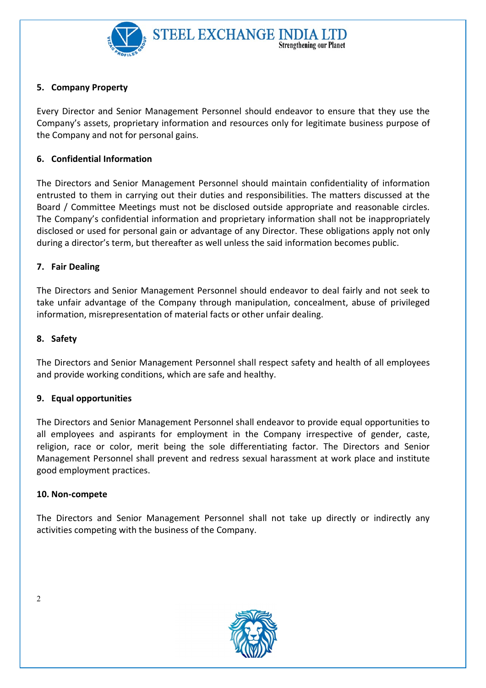

# 5. Company Property

Every Director and Senior Management Personnel should endeavor to ensure that they use the Company's assets, proprietary information and resources only for legitimate business purpose of the Company and not for personal gains.

## 6. Confidential Information

The Directors and Senior Management Personnel should maintain confidentiality of information entrusted to them in carrying out their duties and responsibilities. The matters discussed at the Board / Committee Meetings must not be disclosed outside appropriate and reasonable circles. The Company's confidential information and proprietary information shall not be inappropriately disclosed or used for personal gain or advantage of any Director. These obligations apply not only during a director's term, but thereafter as well unless the said information becomes public.

## 7. Fair Dealing

The Directors and Senior Management Personnel should endeavor to deal fairly and not seek to take unfair advantage of the Company through manipulation, concealment, abuse of privileged information, misrepresentation of material facts or other unfair dealing.

## 8. Safety

The Directors and Senior Management Personnel shall respect safety and health of all employees and provide working conditions, which are safe and healthy.

## 9. Equal opportunities

The Directors and Senior Management Personnel shall endeavor to provide equal opportunities to all employees and aspirants for employment in the Company irrespective of gender, caste, religion, race or color, merit being the sole differentiating factor. The Directors and Senior Management Personnel shall prevent and redress sexual harassment at work place and institute good employment practices.

## 10. Non-compete

The Directors and Senior Management Personnel shall not take up directly or indirectly any activities competing with the business of the Company.



 $\mathfrak{D}$